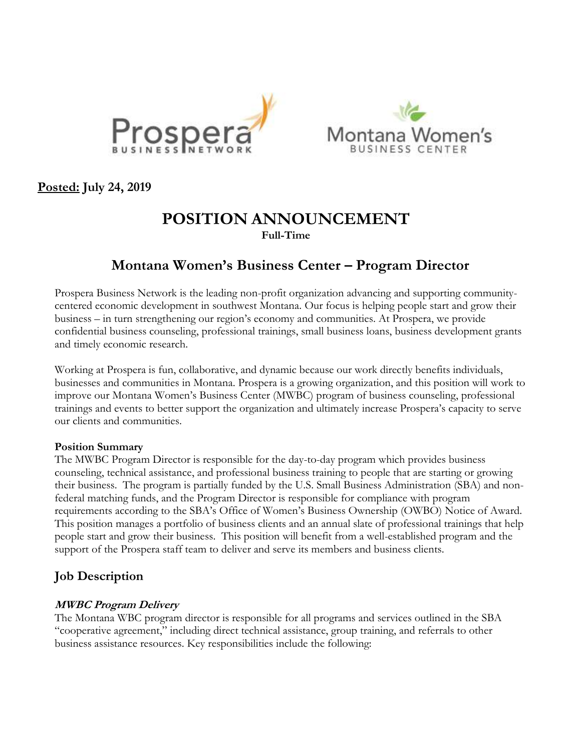



**Posted: July 24, 2019**

# **POSITION ANNOUNCEMENT Full-Time**

# **Montana Women's Business Center – Program Director**

Prospera Business Network is the leading non-profit organization advancing and supporting communitycentered economic development in southwest Montana. Our focus is helping people start and grow their business – in turn strengthening our region's economy and communities. At Prospera, we provide confidential business counseling, professional trainings, small business loans, business development grants and timely economic research.

Working at Prospera is fun, collaborative, and dynamic because our work directly benefits individuals, businesses and communities in Montana. Prospera is a growing organization, and this position will work to improve our Montana Women's Business Center (MWBC) program of business counseling, professional trainings and events to better support the organization and ultimately increase Prospera's capacity to serve our clients and communities.

#### **Position Summary**

The MWBC Program Director is responsible for the day-to-day program which provides business counseling, technical assistance, and professional business training to people that are starting or growing their business. The program is partially funded by the U.S. Small Business Administration (SBA) and nonfederal matching funds, and the Program Director is responsible for compliance with program requirements according to the SBA's Office of Women's Business Ownership (OWBO) Notice of Award. This position manages a portfolio of business clients and an annual slate of professional trainings that help people start and grow their business. This position will benefit from a well-established program and the support of the Prospera staff team to deliver and serve its members and business clients.

# **Job Description**

## **MWBC Program Delivery**

The Montana WBC program director is responsible for all programs and services outlined in the SBA "cooperative agreement," including direct technical assistance, group training, and referrals to other business assistance resources. Key responsibilities include the following: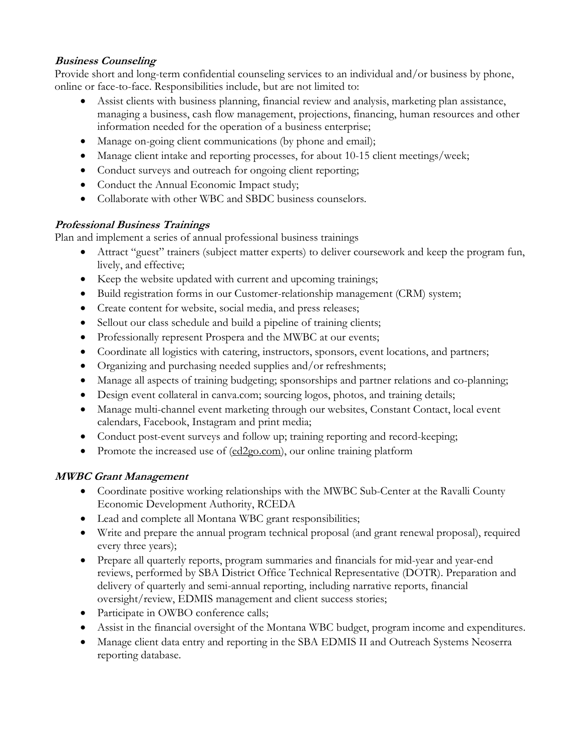# **Business Counseling**

Provide short and long-term confidential counseling services to an individual and/or business by phone, online or face-to-face. Responsibilities include, but are not limited to:

- Assist clients with business planning, financial review and analysis, marketing plan assistance, managing a business, cash flow management, projections, financing, human resources and other information needed for the operation of a business enterprise;
- Manage on-going client communications (by phone and email);
- Manage client intake and reporting processes, for about 10-15 client meetings/week;
- Conduct surveys and outreach for ongoing client reporting;
- Conduct the Annual Economic Impact study;
- Collaborate with other WBC and SBDC business counselors.

# **Professional Business Trainings**

Plan and implement a series of annual professional business trainings

- Attract "guest" trainers (subject matter experts) to deliver coursework and keep the program fun, lively, and effective;
- Keep the website updated with current and upcoming trainings;
- Build registration forms in our Customer-relationship management (CRM) system;
- Create content for website, social media, and press releases;
- Sellout our class schedule and build a pipeline of training clients;
- Professionally represent Prospera and the MWBC at our events;
- Coordinate all logistics with catering, instructors, sponsors, event locations, and partners;
- Organizing and purchasing needed supplies and/or refreshments;
- Manage all aspects of training budgeting; sponsorships and partner relations and co-planning;
- Design event collateral in canva.com; sourcing logos, photos, and training details;
- Manage multi-channel event marketing through our websites, Constant Contact, local event calendars, Facebook, Instagram and print media;
- Conduct post-event surveys and follow up; training reporting and record-keeping;
- Promote the increased use of  $(\underline{ed2go.com})$ , our online training platform

# **MWBC Grant Management**

- Coordinate positive working relationships with the MWBC Sub-Center at the Ravalli County Economic Development Authority, RCEDA
- Lead and complete all Montana WBC grant responsibilities;
- Write and prepare the annual program technical proposal (and grant renewal proposal), required every three years);
- Prepare all quarterly reports, program summaries and financials for mid-year and year-end reviews, performed by SBA District Office Technical Representative (DOTR). Preparation and delivery of quarterly and semi-annual reporting, including narrative reports, financial oversight/review, EDMIS management and client success stories;
- Participate in OWBO conference calls;
- Assist in the financial oversight of the Montana WBC budget, program income and expenditures.
- Manage client data entry and reporting in the SBA EDMIS II and Outreach Systems Neoserra reporting database.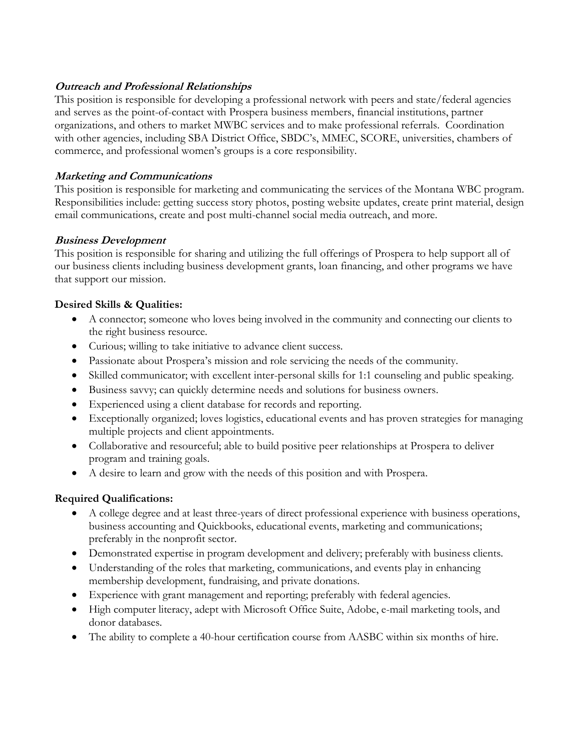#### **Outreach and Professional Relationships**

This position is responsible for developing a professional network with peers and state/federal agencies and serves as the point-of-contact with Prospera business members, financial institutions, partner organizations, and others to market MWBC services and to make professional referrals. Coordination with other agencies, including SBA District Office, SBDC's, MMEC, SCORE, universities, chambers of commerce, and professional women's groups is a core responsibility.

#### **Marketing and Communications**

This position is responsible for marketing and communicating the services of the Montana WBC program. Responsibilities include: getting success story photos, posting website updates, create print material, design email communications, create and post multi-channel social media outreach, and more.

#### **Business Development**

This position is responsible for sharing and utilizing the full offerings of Prospera to help support all of our business clients including business development grants, loan financing, and other programs we have that support our mission.

#### **Desired Skills & Qualities:**

- A connector; someone who loves being involved in the community and connecting our clients to the right business resource.
- Curious; willing to take initiative to advance client success.
- Passionate about Prospera's mission and role servicing the needs of the community.
- Skilled communicator; with excellent inter-personal skills for 1:1 counseling and public speaking.
- Business savvy; can quickly determine needs and solutions for business owners.
- Experienced using a client database for records and reporting.
- Exceptionally organized; loves logistics, educational events and has proven strategies for managing multiple projects and client appointments.
- Collaborative and resourceful; able to build positive peer relationships at Prospera to deliver program and training goals.
- A desire to learn and grow with the needs of this position and with Prospera.

## **Required Qualifications:**

- A college degree and at least three-years of direct professional experience with business operations, business accounting and Quickbooks, educational events, marketing and communications; preferably in the nonprofit sector.
- Demonstrated expertise in program development and delivery; preferably with business clients.
- Understanding of the roles that marketing, communications, and events play in enhancing membership development, fundraising, and private donations.
- Experience with grant management and reporting; preferably with federal agencies.
- High computer literacy, adept with Microsoft Office Suite, Adobe, e-mail marketing tools, and donor databases.
- The ability to complete a 40-hour certification course from AASBC within six months of hire.